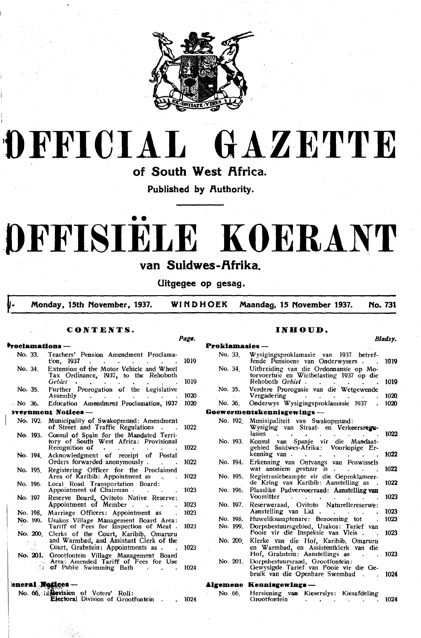

## OFFICIAL GAZETTE

of South West Africa.

Published by Authority.

# DFFISIELE KOERANT

### van Suidwes-Afrika.

Uitgegee op gesag.

Page.

Monday, 15th November, 1937. WINDHOEK Maandag, 15 November 1937. **No. 731** 

#### CONTENTS.

#### oclamations -

| No. 33. |          | Teachers' Pension Amendment Proclama-<br>ton, 1937                                                                | 1019 |    |
|---------|----------|-------------------------------------------------------------------------------------------------------------------|------|----|
|         | No. 34.  | Extension of the Motor Vehicle and Wheel<br>Tax Ordinance, 1937, to the Rehoboth                                  |      |    |
|         |          | Gebiet                                                                                                            | 1019 |    |
|         | No. 35.  | Further Prorogation of the Legislative<br>Assembly                                                                | 1020 |    |
| Mo 36.  |          | Education Amendment Proclamation, 1937                                                                            | 1020 |    |
|         |          | Dvernment Notices —                                                                                               |      | G. |
|         | No. 192. | Municipality of Swakopmund: Amendment<br>of Street and Traffic Regulations                                        | 1022 |    |
|         | No. 193. | Consul of Spain for the Mandated Terri-<br>tory of South West Africa: Provisional                                 |      |    |
|         |          | Recognition of<br>$\bullet$ .<br><br><br><br><br><br><br><br><br><br><br><br><br><br><br><br>$\ddot{\phantom{0}}$ | 1022 |    |
|         | No. 194  | Acknowledgment of receipt of Postal<br>Orders forwarded anonymously.                                              | 1022 |    |
|         | No. 195  | Registering Officer for the Proclaimed<br>Area of Karibib: Appointment as                                         | 1022 |    |
|         | No. 196. | Local Road Transportation Board:<br>Appointment of Chairman.                                                      | 1023 |    |
|         | No. 197  | Reserve Board, Ovitoto Native Reserve:<br>Appointment of Member.                                                  | 1023 |    |
|         | No. 198. | Marriage Officers: Appointment as                                                                                 | 1023 |    |
|         | No. 199. | Usakos Village Management Board Area:<br>Tariff of Fees for Inspection of Meat.                                   | 1023 |    |
|         | No. 200  | Clerks of the Court, Karibib, Omaruru                                                                             |      |    |
|         |          | and Warmbad, and Assistant Clerk of the<br>Court, Grabstein: Appointments as .                                    | 1023 |    |
|         |          | No. 201. Grootfontein Village Management Board<br>Area: Amended Tariff of Fees for Use                            |      |    |
|         | TI.      | of Public Swimming Bath                                                                                           | 1024 |    |

#### eneral Notices

| No. 66. in Revision of Voters' Roll: |  |                                           |  |      |
|--------------------------------------|--|-------------------------------------------|--|------|
|                                      |  | <b>Electoral Division of Grootfontein</b> |  | 1024 |

#### INHOUD.

Bladsy.

| ТОВІФШАЯІСЯ |                                                                                                                  |      |
|-------------|------------------------------------------------------------------------------------------------------------------|------|
| No. 33.     | Wysigingsproklamasie van 1937 betref-<br>fende Pensioene van Onderwysers.                                        | 1019 |
| No. 34      | Uitbreiding van die Ordonnansie op Mo-<br>torvoertuie en Wielbelasting 1937 op die<br>Rehoboth <i>Gebiet</i> .   | 1019 |
| No. 35.     | Verdere Prorogasie van die Wetgewende<br>Vergadering                                                             | 1020 |
| No. 36.     | Onderwys Wysigingsproklamasie 1937                                                                               | 1020 |
|             | Goewermentskennisgewings —                                                                                       |      |
| No. 192     | Munisipaliteit van Swakopmund:<br>Wysiging van Straat- en Verkeersregu-<br>lasies                                | 1022 |
| No. 193.    | Konsul van Spanje vir die Mandaat-<br>gebied Suidwes-Afrika: Voorlopige Er-<br>kenning van .                     | 1022 |
| No. 194.    | Erkenning van Ontvangs van Poswissels<br>wat anoniem gestuur is.                                                 | 1022 |
| No. 195.    | Registrasiebeampte vir die Geproklameer-<br>de Kring van Karibib: Aanstelling as                                 | 1022 |
| No. 196.    | Plaaslike Padvervoerraad: Aanstelling van<br>Voorsitter                                                          | 1023 |
| No. 197.    | Reserweraad, Ovitoto Naturellereserwe:<br>Aanstelling van Lid                                                    | 1023 |
| No. 198.    | Huweliksamptenare: Benoeming tot                                                                                 | 1023 |
| No. 199.    | Dorpsbestuursgebied, Usakos: Tarief van<br>Fooie vir die Inspeksie van Vleis.                                    | 1023 |
| No. 200     | Klerke van die Hof, Karibib, Omaruru<br>en Warmbad, en Assistentklerk van die<br>Hof, Grabstein: Aanstellings as | 1023 |
| No. 201.    | Dorpsbestuursraad, Grootfontein:<br>Gewysigde Tarief van Fooie vir die Ge-<br>bruik van die Openbare Swembad.    | 1024 |

#### Algemene Kennisgewings-

|  | No. 66. Hersiening van Kieserslys: Kiesafdeling |  |      |
|--|-------------------------------------------------|--|------|
|  | Grootfontein                                    |  | 1024 |